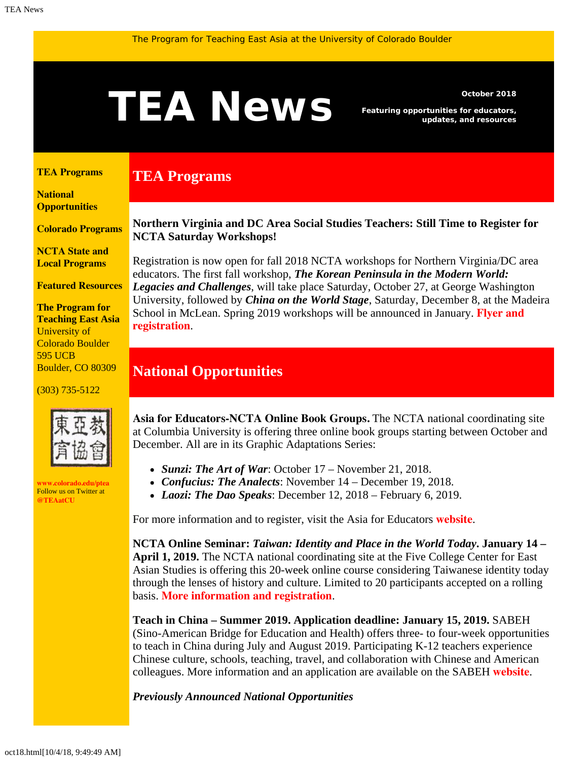# <span id="page-0-1"></span>**TEANEWS** Featuring opportunities for educators,

**TEA Programs**

*Featuring opportunities for educators, updates, and resources*

#### <span id="page-0-0"></span>**[TEA Programs](#page-0-0)**

**[National](#page-0-1)  [Opportunities](#page-0-1)**

**[Colorado Programs](#page-0-1)**

**[NCTA State and](#page-2-0) [Local Programs](#page-2-0)**

**[Featured Resources](#page-2-1)**

**The Program for Teaching East Asia** University of Colorado Boulder 595 UCB Boulder, CO 80309

(303) 735-5122



**[www.colorado.edu/ptea](http://www.colorado.edu/cas/tea)** Follow us on Twitter at **[@TEAatCU](https://twitter.com/TEAatCU)**

**Northern Virginia and DC Area Social Studies Teachers: Still Time to Register for NCTA Saturday Workshops!**

Registration is now open for fall 2018 NCTA workshops for Northern Virginia/DC area educators. The first fall workshop, *The Korean Peninsula in the Modern World: Legacies and Challenges*, will take place Saturday, October 27, at George Washington University, followed by *China on the World Stage*, Saturday, December 8, at the Madeira School in McLean. Spring 2019 workshops will be announced in January. **[Flyer and](https://www.colorado.edu/ptea/sites/default/files/attached-files/vanctafall2018.pdf) [registration](https://www.colorado.edu/ptea/sites/default/files/attached-files/vanctafall2018.pdf)**.

#### **National Opportunities**

**Asia for Educators-NCTA Online Book Groups.** The NCTA national coordinating site at Columbia University is offering three online book groups starting between October and December. All are in its Graphic Adaptations Series:

- *Sunzi: The Art of War*: October 17 November 21, 2018.
- *Confucius: The Analects*: November 14 December 19, 2018.
- *Laozi: The Dao Speaks*: December 12, 2018 February 6, 2019.

For more information and to register, visit the Asia for Educators **[website](http://asiaforeducators.org/course/index.php?categoryid=41)**.

**NCTA Online Seminar:** *Taiwan: Identity and Place in the World Today***. January 14 – April 1, 2019.** The NCTA national coordinating site at the Five College Center for East Asian Studies is offering this 20-week online course considering Taiwanese identity today through the lenses of history and culture. Limited to 20 participants accepted on a rolling basis. **[More information and registration](https://www.fivecolleges.edu/fcceas/ncta/2019-national-online)**.

**Teach in China – Summer 2019. Application deadline: January 15, 2019.** SABEH (Sino-American Bridge for Education and Health) offers three- to four-week opportunities to teach in China during July and August 2019. Participating K-12 teachers experience Chinese culture, schools, teaching, travel, and collaboration with Chinese and American colleagues. More information and an application are available on the SABEH **[website](http://www.sabeh.org/teach-in-china)**.

*Previously Announced National Opportunities*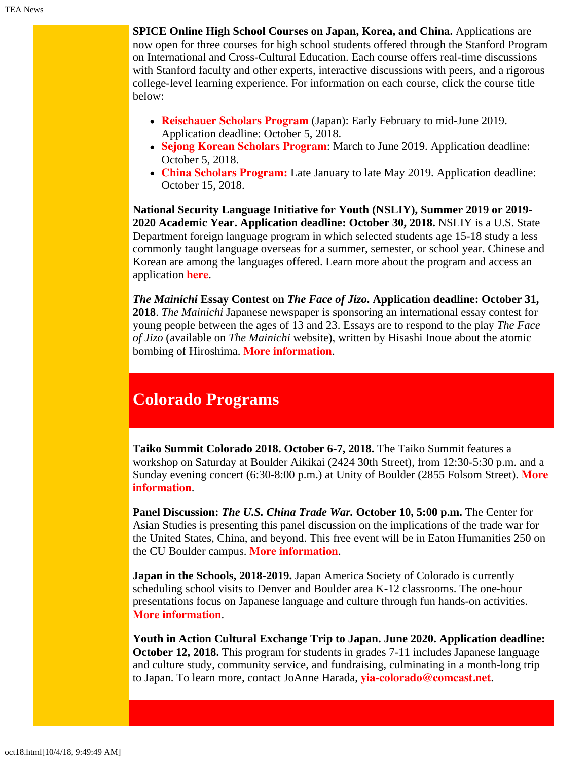**SPICE Online High School Courses on Japan, Korea, and China.** Applications are now open for three courses for high school students offered through the Stanford Program on International and Cross-Cultural Education. Each course offers real-time discussions with Stanford faculty and other experts, interactive discussions with peers, and a rigorous college-level learning experience. For information on each course, click the course title below:

- **[Reischauer Scholars Program](https://spice.fsi.stanford.edu/fellowships/reischauer_scholars_program/)** (Japan): Early February to mid-June 2019. Application deadline: October 5, 2018.
- **[Sejong Korean Scholars Program](https://spice.fsi.stanford.edu/fellowships/sejong_korean_scholars_program)**: March to June 2019. Application deadline: October 5, 2018.
- **[China Scholars Program:](https://spice.fsi.stanford.edu/fellowship/china-scholars-program)** Late January to late May 2019. Application deadline: October 15, 2018.

**National Security Language Initiative for Youth (NSLIY), Summer 2019 or 2019- 2020 Academic Year. Application deadline: October 30, 2018.** NSLIY is a U.S. State Department foreign language program in which selected students age 15-18 study a less commonly taught language overseas for a summer, semester, or school year. Chinese and Korean are among the languages offered. Learn more about the program and access an application **[here](http://www.nsliforyouth.org/)**.

*The Mainichi* **Essay Contest on** *The Face of Jizo***. Application deadline: October 31, 2018**. *The Mainichi* Japanese newspaper is sponsoring an international essay contest for young people between the ages of 13 and 23. Essays are to respond to the play *The Face of Jizo* (available on *The Mainichi* website), written by Hisashi Inoue about the atomic bombing of Hiroshima. **[More information](https://mainichi.jp/english/articles/20180719/p2a/00m/0na/027000c)**.

### **Colorado Programs**

**Taiko Summit Colorado 2018. October 6-7, 2018.** The Taiko Summit features a workshop on Saturday at Boulder Aikikai (2424 30th Street), from 12:30-5:30 p.m. and a Sunday evening concert (6:30-8:00 p.m.) at Unity of Boulder (2855 Folsom Street). **[More](http://www.taikosummit.com/) [information](http://www.taikosummit.com/)**.

**Panel Discussion:** *The U.S. China Trade War.* **October 10, 5:00 p.m.** The Center for Asian Studies is presenting this panel discussion on the implications of the trade war for the United States, China, and beyond. This free event will be in Eaton Humanities 250 on the CU Boulder campus. **[More information](https://www.colorado.edu/cas/us-china-trade-war-panel-discussion-its-implications-china-us-and-beyond-20181010)**.

**Japan in the Schools, 2018-2019.** Japan America Society of Colorado is currently scheduling school visits to Denver and Boulder area K-12 classrooms. The one-hour presentations focus on Japanese language and culture through fun hands-on activities. **[More information](https://www.jascolorado.org/japan-in-the-schools/)**.

**Youth in Action Cultural Exchange Trip to Japan. June 2020. Application deadline: October 12, 2018.** This program for students in grades 7-11 includes Japanese language and culture study, community service, and fundraising, culminating in a month-long trip to Japan. To learn more, contact JoAnne Harada, **[yia-colorado@comcast.net](mailto:yia-colorado@comcast.net)**.